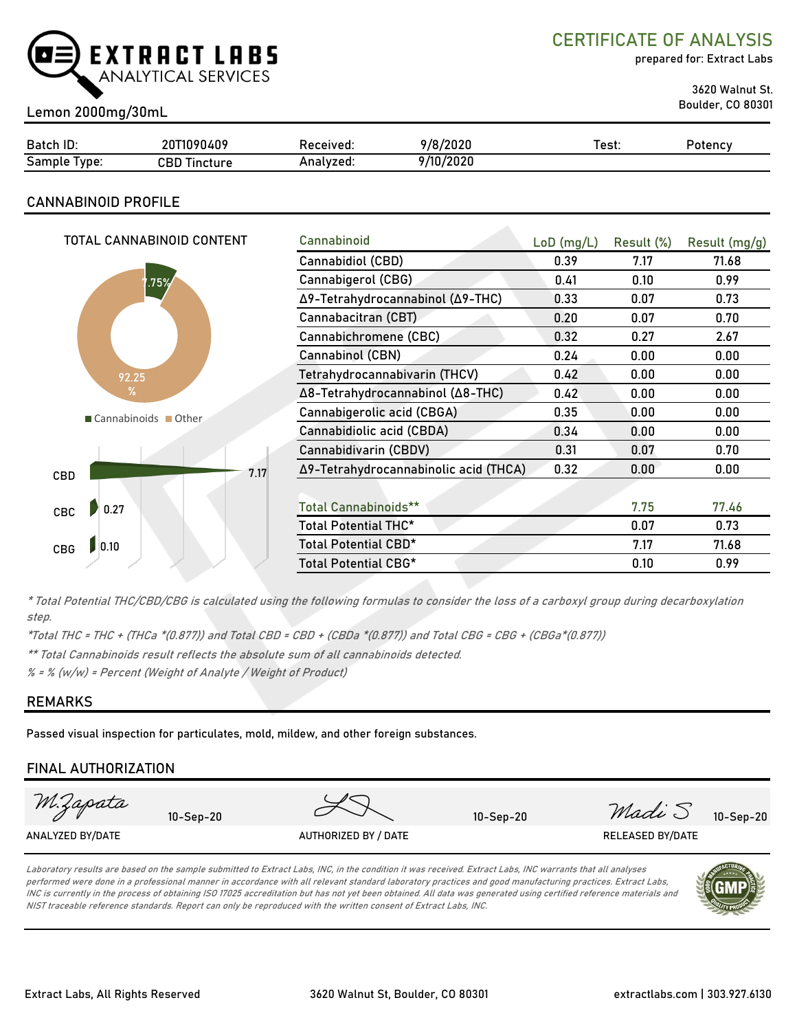

CERTIFICATE OF ANALYSIS

prepared for: Extract Labs

3620 Walnut St.

# Boulder, CO 80301 Lemon 2000mg/30mL

| Batch ID:             | 20T1090409      | Received: | 9/8/2020  | est: | Potency |
|-----------------------|-----------------|-----------|-----------|------|---------|
| -<br>Sample<br>l vpe: | CBD<br>Tincture | Analyzed: | 9/10/2020 |      |         |

# CANNABINOID PROFILE

| TOTAL CANNABINOID CONTENT | Cannabinoid                           | $LoD$ (mg/L) | Result (%) | Result (mg/g) |
|---------------------------|---------------------------------------|--------------|------------|---------------|
|                           | Cannabidiol (CBD)                     | 0.39         | 7.17       | 71.68         |
| 1.75%                     | Cannabigerol (CBG)                    | 0.41         | 0.10       | 0.99          |
|                           | Δ9-Tetrahydrocannabinol (Δ9-THC)      | 0.33         | 0.07       | 0.73          |
|                           | Cannabacitran (CBT)                   | 0.20         | 0.07       | 0.70          |
|                           | Cannabichromene (CBC)                 | 0.32         | 0.27       | 2.67          |
|                           | Cannabinol (CBN)                      | 0.24         | 0.00       | 0.00          |
| 92.25                     | Tetrahydrocannabivarin (THCV)         | 0.42         | 0.00       | 0.00          |
| $\%$                      | Δ8-Tetrahydrocannabinol (Δ8-THC)      | 0.42         | 0.00       | 0.00          |
| Cannabinoids Other        | Cannabigerolic acid (CBGA)            | 0.35         | 0.00       | 0.00          |
|                           | Cannabidiolic acid (CBDA)             | 0.34         | 0.00       | 0.00          |
|                           | Cannabidivarin (CBDV)                 | 0.31         | 0.07       | 0.70          |
| 7.17<br>CBD               | Δ9-Tetrahydrocannabinolic acid (THCA) | 0.32         | 0.00       | 0.00          |
|                           |                                       |              |            |               |
| 0.27<br>CBC               | <b>Total Cannabinoids**</b>           |              | 7.75       | 77.46         |
|                           | Total Potential THC*                  |              | 0.07       | 0.73          |
| 0.10<br><b>CBG</b>        | Total Potential CBD*                  |              | 7.17       | 71.68         |
|                           | Total Potential CBG*                  |              | 0.10       | 0.99          |
|                           |                                       |              |            |               |

\* Total Potential THC/CBD/CBG is calculated using the following formulas to consider the loss of a carboxyl group during decarboxylation step.

\*Total THC = THC + (THCa \*(0.877)) and Total CBD = CBD + (CBDa \*(0.877)) and Total CBG = CBG + (CBGa\*(0.877))

\*\* Total Cannabinoids result reflects the absolute sum of all cannabinoids detected.

 $% =$  % (w/w) = Percent (Weight of Analyte / Weight of Product)

# REMARKS

Passed visual inspection for particulates, mold, mildew, and other foreign substances.

### FINAL AUTHORIZATION



Laboratory results are based on the sample submitted to Extract Labs, INC, in the condition it was received. Extract Labs, INC warrants that all analyses performed were done in a professional manner in accordance with all relevant standard laboratory practices and good manufacturing practices. Extract Labs, INC is currently in the process of obtaining ISO 17025 accreditation but has not yet been obtained. All data was generated using certified reference materials and NIST traceable reference standards. Report can only be reproduced with the written consent of Extract Labs, INC.

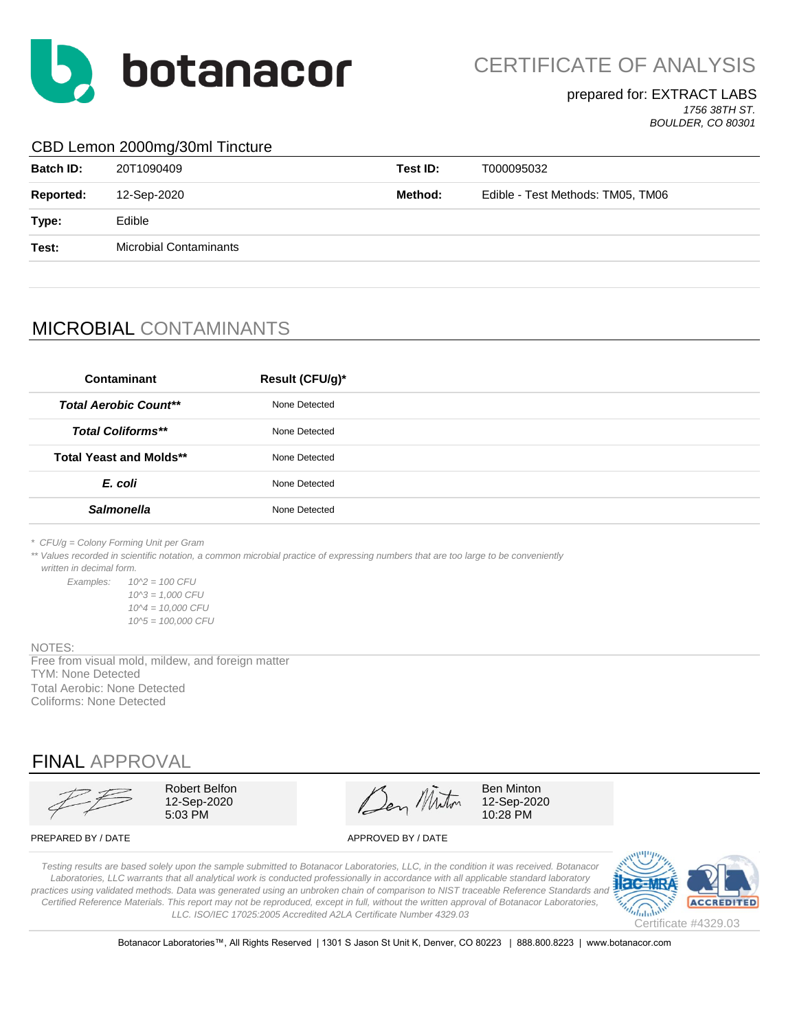

CERTIFICATE OF ANALYSIS

#### prepared for: EXTRACT LABS *1756 38TH ST.*

*BOULDER, CO 80301*

#### CBD Lemon 2000mg/30ml Tincture

| <b>Batch ID:</b> | 20T1090409                    | Test ID: | T000095032                        |
|------------------|-------------------------------|----------|-----------------------------------|
| Reported:        | 12-Sep-2020                   | Method:  | Edible - Test Methods: TM05, TM06 |
| Type:            | Edible                        |          |                                   |
| Test:            | <b>Microbial Contaminants</b> |          |                                   |
|                  |                               |          |                                   |

# MICROBIAL CONTAMINANTS

| Contaminant                    | Result (CFU/g)* |
|--------------------------------|-----------------|
| <b>Total Aerobic Count**</b>   | None Detected   |
| <b>Total Coliforms**</b>       | None Detected   |
| <b>Total Yeast and Molds**</b> | None Detected   |
| E. coli                        | None Detected   |
| <b>Salmonella</b>              | None Detected   |
|                                |                 |

*\* CFU/g = Colony Forming Unit per Gram*

\*\* Values recorded in scientific notation, a common microbial practice of expressing numbers that are too large to be conveniently  *written in decimal form.*

*Examples: 10^2 = 100 CFU 10^3 = 1,000 CFU 10^4 = 10,000 CFU 10^5 = 100,000 CFU*

#### NOTES:

TYM: None Detected Total Aerobic: None Detected Coliforms: None Detected Free from visual mold, mildew, and foreign matter

# FINAL APPROVAL

Robert Belfon  $\mathscr{A}$   $\mathscr{A}$  Ben Minton 12-Sep-2020  $\sqrt{2}$   $\sqrt{2}$  12-Sep-2020  $5.03 \text{ PM}$  10:28 PM

PREPARED BY / DATE APPROVED BY / DATE

*Testing results are based solely upon the sample submitted to Botanacor Laboratories, LLC, in the condition it was received. Botanacor Laboratories, LLC warrants that all analytical work is conducted professionally in accordance with all applicable standard laboratory*  practices using validated methods. Data was generated using an unbroken chain of comparison to NIST traceable Reference Standards and *Certified Reference Materials. This report may not be reproduced, except in full, without the written approval of Botanacor Laboratories, LLC. ISO/IEC 17025:2005 Accredited A2LA Certificate Number 4329.03*



Botanacor Laboratories™, All Rights Reserved | 1301 S Jason St Unit K, Denver, CO 80223 | 888.800.8223 | www.botanacor.com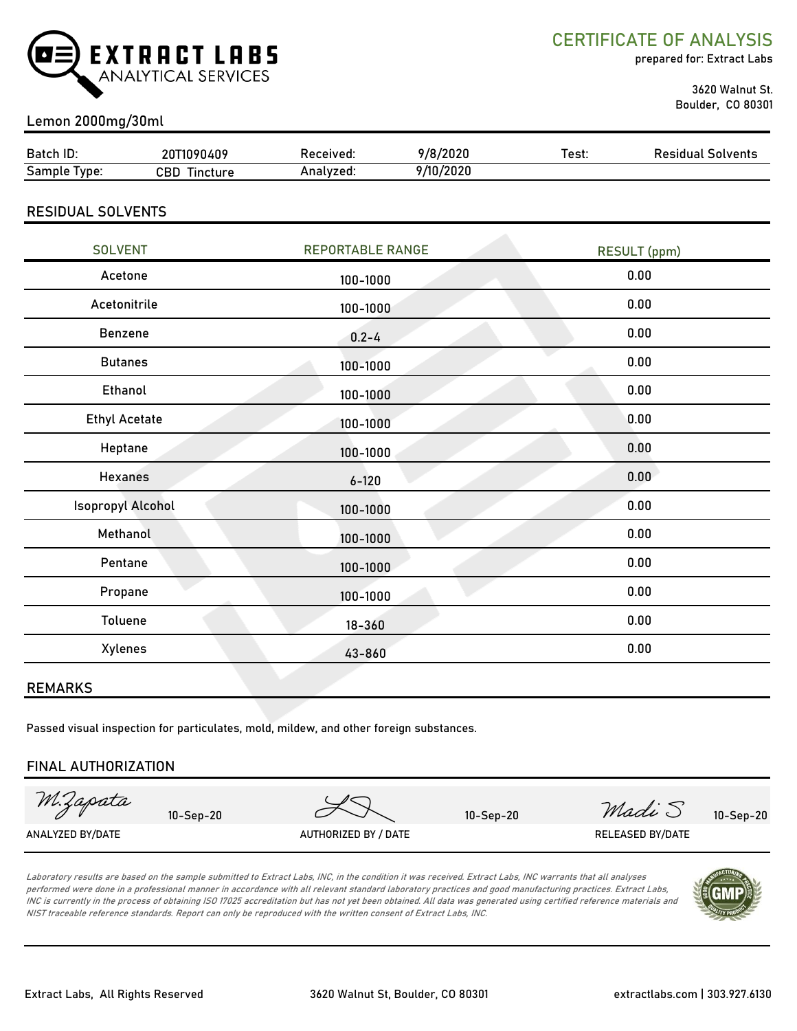

CERTIFICATE OF ANALYSIS

prepared for: Extract Labs

 3620 Walnut St. Boulder, CO 80301

# Lemon 2000mg/30ml

| Batch ID:           | 20T1090409       | Received: | 9/8/2020  | Test: | <b>Residual Solvents</b> |
|---------------------|------------------|-----------|-----------|-------|--------------------------|
| <b>Sample Type:</b> | CBD.<br>Tincture | Analvzed: | 9/10/2020 |       |                          |
|                     |                  |           |           |       |                          |

## RESIDUAL SOLVENTS

| <b>SOLVENT</b>           | <b>REPORTABLE RANGE</b> | <b>RESULT</b> (ppm) |
|--------------------------|-------------------------|---------------------|
| Acetone                  | 100-1000                | 0.00                |
| Acetonitrile             | 100-1000                | 0.00                |
| Benzene                  | $0.2 - 4$               | 0.00                |
| <b>Butanes</b>           | 100-1000                | 0.00                |
| Ethanol                  | 100-1000                | 0.00                |
| <b>Ethyl Acetate</b>     | 100-1000                | 0.00                |
| Heptane                  | 100-1000                | 0.00                |
| <b>Hexanes</b>           | $6 - 120$               | 0.00                |
| <b>Isopropyl Alcohol</b> | $100 - 1000$            | 0.00                |
| Methanol                 | 100-1000                | 0.00                |
| Pentane                  | 100-1000                | 0.00                |
| Propane                  | 100-1000                | 0.00                |
| Toluene                  | $18 - 360$              | 0.00                |
| Xylenes                  | 43-860                  | 0.00                |
|                          |                         |                     |

#### REMARKS

Passed visual inspection for particulates, mold, mildew, and other foreign substances.

#### FINAL AUTHORIZATION

| M.Zapata         | $10 -$ Sep $-20$ |                      | $10-Sep-20$ | Madi S           | $10-Sep-20$ |
|------------------|------------------|----------------------|-------------|------------------|-------------|
| ANALYZED BY/DATE |                  | AUTHORIZED BY / DATE |             | RELEASED BY/DATE |             |

Laboratory results are based on the sample submitted to Extract Labs, INC, in the condition it was received. Extract Labs, INC warrants that all analyses performed were done in a professional manner in accordance with all relevant standard laboratory practices and good manufacturing practices. Extract Labs, INC is currently in the process of obtaining ISO 17025 accreditation but has not yet been obtained. All data was generated using certified reference materials and NIST traceable reference standards. Report can only be reproduced with the written consent of Extract Labs, INC.